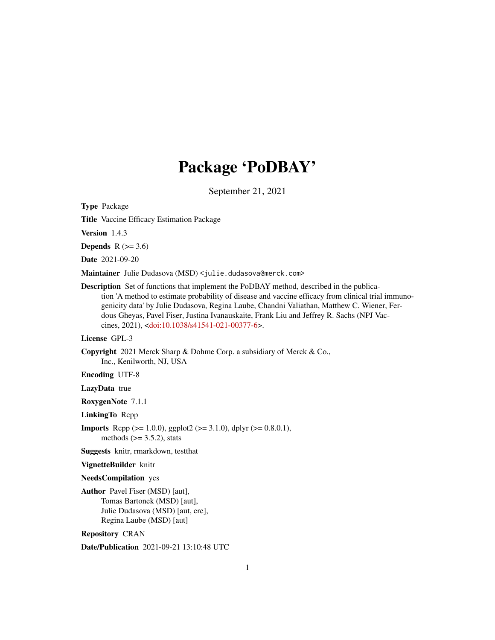# Package 'PoDBAY'

September 21, 2021

Type Package

Title Vaccine Efficacy Estimation Package

Version 1.4.3

Depends  $R$  ( $> = 3.6$ )

Date 2021-09-20

Maintainer Julie Dudasova (MSD) <julie.dudasova@merck.com>

Description Set of functions that implement the PoDBAY method, described in the publication 'A method to estimate probability of disease and vaccine efficacy from clinical trial immunogenicity data' by Julie Dudasova, Regina Laube, Chandni Valiathan, Matthew C. Wiener, Ferdous Gheyas, Pavel Fiser, Justina Ivanauskaite, Frank Liu and Jeffrey R. Sachs (NPJ Vaccines, 2021), [<doi:10.1038/s41541-021-00377-6>](https://doi.org/10.1038/s41541-021-00377-6).

## License GPL-3

Copyright 2021 Merck Sharp & Dohme Corp. a subsidiary of Merck & Co., Inc., Kenilworth, NJ, USA

Encoding UTF-8

LazyData true

RoxygenNote 7.1.1

LinkingTo Rcpp

**Imports** Rcpp ( $>= 1.0.0$ ), ggplot2 ( $>= 3.1.0$ ), dplyr ( $>= 0.8.0.1$ ), methods  $(>= 3.5.2)$ , stats

Suggests knitr, rmarkdown, testthat

#### VignetteBuilder knitr

## NeedsCompilation yes

Author Pavel Fiser (MSD) [aut], Tomas Bartonek (MSD) [aut], Julie Dudasova (MSD) [aut, cre], Regina Laube (MSD) [aut]

Repository CRAN

Date/Publication 2021-09-21 13:10:48 UTC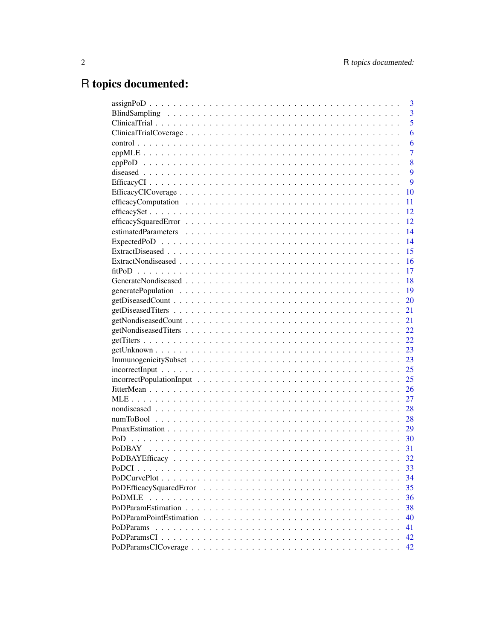# R topics documented:

|                      | 3              |
|----------------------|----------------|
|                      | 3              |
|                      | 5              |
|                      | 6              |
|                      | 6              |
|                      | $\overline{7}$ |
|                      | 8              |
|                      | 9              |
|                      | 9              |
| 10                   |                |
| 11                   |                |
| 12                   |                |
| 12                   |                |
| 14                   |                |
| 14                   |                |
| 15                   |                |
| 16                   |                |
| 17                   |                |
| -18                  |                |
| -19                  |                |
| 20                   |                |
| 21                   |                |
| 21                   |                |
| 22                   |                |
|                      |                |
|                      |                |
|                      |                |
|                      |                |
|                      |                |
| 26                   |                |
| 27                   |                |
| 28                   |                |
| 28                   |                |
| 29                   |                |
|                      |                |
| <b>PODBAY</b><br>-31 |                |
| 32                   |                |
| 33                   |                |
| 34                   |                |
| 35                   |                |
| PoDMLE<br>36         |                |
| 38                   |                |
| 40                   |                |
| PoDParams<br>41      |                |
|                      |                |
| 42                   |                |
| 42                   |                |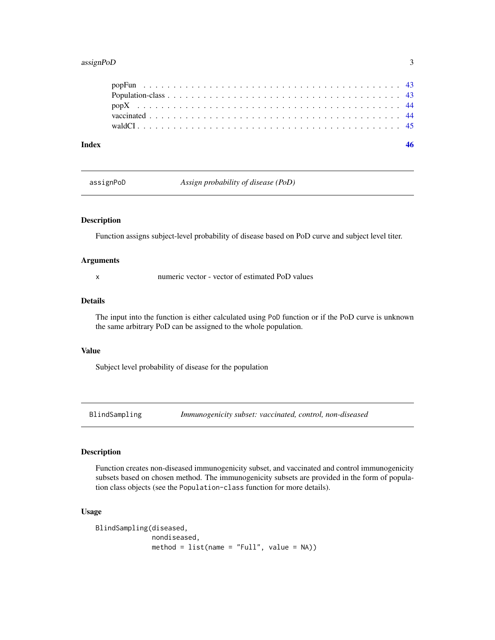## <span id="page-2-0"></span>assignPoD 3

| Index |  |  |  |  |  |  |  |  |  |  |  |  |  |  |  |  |  |  |
|-------|--|--|--|--|--|--|--|--|--|--|--|--|--|--|--|--|--|--|
|       |  |  |  |  |  |  |  |  |  |  |  |  |  |  |  |  |  |  |
|       |  |  |  |  |  |  |  |  |  |  |  |  |  |  |  |  |  |  |
|       |  |  |  |  |  |  |  |  |  |  |  |  |  |  |  |  |  |  |
|       |  |  |  |  |  |  |  |  |  |  |  |  |  |  |  |  |  |  |
|       |  |  |  |  |  |  |  |  |  |  |  |  |  |  |  |  |  |  |

assignPoD *Assign probability of disease (PoD)*

## Description

Function assigns subject-level probability of disease based on PoD curve and subject level titer.

#### Arguments

x numeric vector - vector of estimated PoD values

#### Details

The input into the function is either calculated using PoD function or if the PoD curve is unknown the same arbitrary PoD can be assigned to the whole population.

## Value

Subject level probability of disease for the population

BlindSampling *Immunogenicity subset: vaccinated, control, non-diseased*

## Description

Function creates non-diseased immunogenicity subset, and vaccinated and control immunogenicity subsets based on chosen method. The immunogenicity subsets are provided in the form of population class objects (see the Population-class function for more details).

#### Usage

```
BlindSampling(diseased,
              nondiseased,
              method = list(name = "Full", value = NA))
```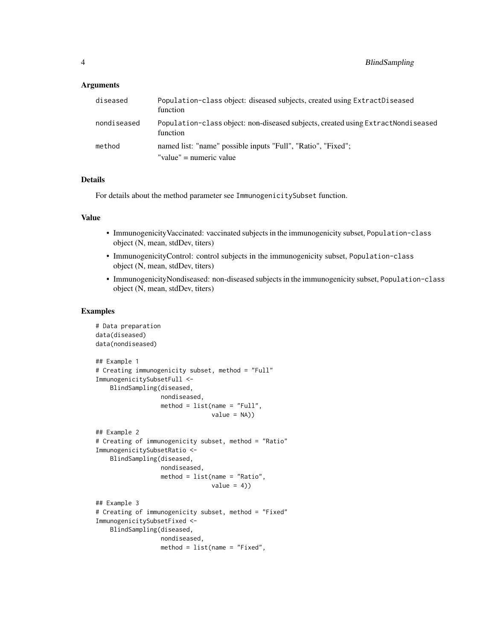## **Arguments**

| diseased    | Population-class object: diseased subjects, created using ExtractDiseased<br>function        |
|-------------|----------------------------------------------------------------------------------------------|
| nondiseased | Population-class object: non-diseased subjects, created using ExtractNondiseased<br>function |
| method      | named list: "name" possible inputs "Full", "Ratio", "Fixed";<br>"value" = numeric value      |
|             |                                                                                              |

## Details

For details about the method parameter see ImmunogenicitySubset function.

## Value

- ImmunogenicityVaccinated: vaccinated subjects in the immunogenicity subset, Population-class object (N, mean, stdDev, titers)
- ImmunogenicityControl: control subjects in the immunogenicity subset, Population-class object (N, mean, stdDev, titers)
- ImmunogenicityNondiseased: non-diseased subjects in the immunogenicity subset, Population-class object (N, mean, stdDev, titers)

## Examples

```
# Data preparation
data(diseased)
data(nondiseased)
## Example 1
# Creating immunogenicity subset, method = "Full"
ImmunogenicitySubsetFull <-
    BlindSampling(diseased,
                  nondiseased,
                  method = list(name = "Full",value = NA)
## Example 2
# Creating of immunogenicity subset, method = "Ratio"
ImmunogenicitySubsetRatio <-
    BlindSampling(diseased,
                 nondiseased,
                  method = list(name = "Ratio",
                                value = 4)## Example 3
# Creating of immunogenicity subset, method = "Fixed"
ImmunogenicitySubsetFixed <-
    BlindSampling(diseased,
                 nondiseased,
                  method = list(name = "Fixed",
```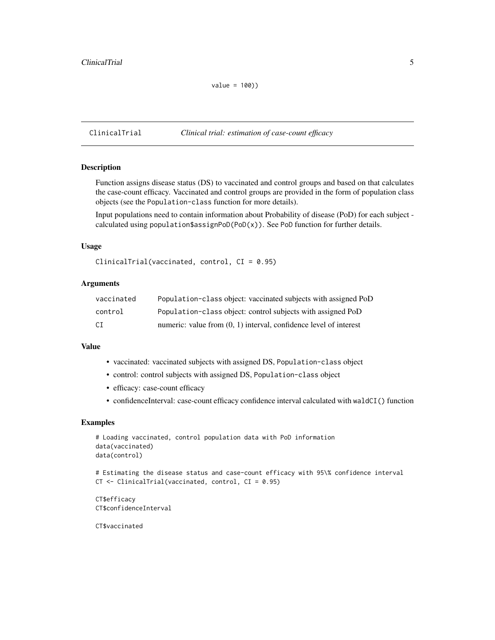<span id="page-4-0"></span>ClinicalTrial *Clinical trial: estimation of case-count efficacy*

## Description

Function assigns disease status (DS) to vaccinated and control groups and based on that calculates the case-count efficacy. Vaccinated and control groups are provided in the form of population class objects (see the Population-class function for more details).

Input populations need to contain information about Probability of disease (PoD) for each subject calculated using population\$assignPoD(PoD(x)). See PoD function for further details.

## Usage

```
ClinicalTrial(vaccinated, control, CI = 0.95)
```
## Arguments

| vaccinated | Population-class object: vaccinated subjects with assigned PoD      |
|------------|---------------------------------------------------------------------|
| control    | Population-class object: control subjects with assigned PoD         |
| CT.        | numeric: value from $(0, 1)$ interval, confidence level of interest |

## Value

- vaccinated: vaccinated subjects with assigned DS, Population-class object
- control: control subjects with assigned DS, Population-class object
- efficacy: case-count efficacy
- confidenceInterval: case-count efficacy confidence interval calculated with waldCI() function

#### Examples

```
# Loading vaccinated, control population data with PoD information
data(vaccinated)
data(control)
# Estimating the disease status and case-count efficacy with 95\% confidence interval
CT <- ClinicalTrial(vaccinated, control, CI = 0.95)
```
CT\$efficacy CT\$confidenceInterval

CT\$vaccinated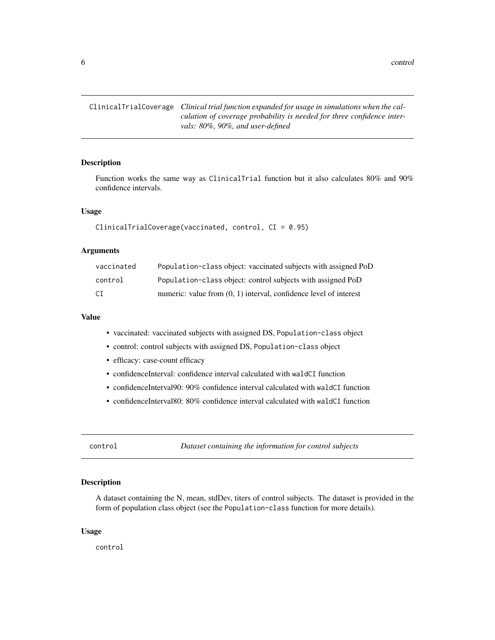<span id="page-5-0"></span>6 control

ClinicalTrialCoverage *Clinical trial function expanded for usage in simulations when the calculation of coverage probability is needed for three confidence intervals: 80%, 90%, and user-defined*

## Description

Function works the same way as ClinicalTrial function but it also calculates 80% and 90% confidence intervals.

#### Usage

```
ClinicalTrialCoverage(vaccinated, control, CI = 0.95)
```
#### Arguments

| vaccinated | Population-class object: vaccinated subjects with assigned PoD      |
|------------|---------------------------------------------------------------------|
| control    | Population-class object: control subjects with assigned PoD         |
| СI         | numeric: value from $(0, 1)$ interval, confidence level of interest |

#### Value

- vaccinated: vaccinated subjects with assigned DS, Population-class object
- control: control subjects with assigned DS, Population-class object
- efficacy: case-count efficacy
- confidenceInterval: confidence interval calculated with waldCI function
- confidenceInterval90: 90% confidence interval calculated with waldCI function
- confidenceInterval80: 80% confidence interval calculated with waldCI function

control *Dataset containing the information for control subjects*

#### Description

A dataset containing the N, mean, stdDev, titers of control subjects. The dataset is provided in the form of population class object (see the Population-class function for more details).

#### Usage

control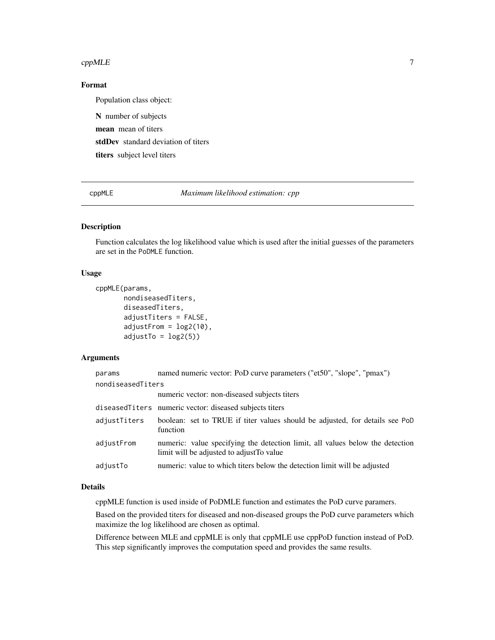#### <span id="page-6-0"></span> $cppMLE$  7

## Format

Population class object:

N number of subjects mean mean of titers stdDev standard deviation of titers titers subject level titers

cppMLE *Maximum likelihood estimation: cpp*

## Description

Function calculates the log likelihood value which is used after the initial guesses of the parameters are set in the PoDMLE function.

#### Usage

```
cppMLE(params,
       nondiseasedTiters,
       diseasedTiters,
       adjustTiters = FALSE,
       adjustFrom = log2(10),
       adjustTo = log2(5)
```
#### Arguments

| params            | named numeric vector: PoD curve parameters ("et50", "slope", "pmax")                                                       |
|-------------------|----------------------------------------------------------------------------------------------------------------------------|
| nondiseasedTiters |                                                                                                                            |
|                   | numeric vector: non-diseased subjects titers                                                                               |
|                   | diseased Titers numeric vector: diseased subjects titers                                                                   |
| adjustTiters      | boolean: set to TRUE if titer values should be adjusted, for details see PoD<br>function                                   |
| adjustFrom        | numeric: value specifying the detection limit, all values below the detection<br>limit will be adjusted to adjust To value |
| adjustTo          | numeric: value to which titers below the detection limit will be adjusted                                                  |

## Details

cppMLE function is used inside of PoDMLE function and estimates the PoD curve paramers.

Based on the provided titers for diseased and non-diseased groups the PoD curve parameters which maximize the log likelihood are chosen as optimal.

Difference between MLE and cppMLE is only that cppMLE use cppPoD function instead of PoD. This step significantly improves the computation speed and provides the same results.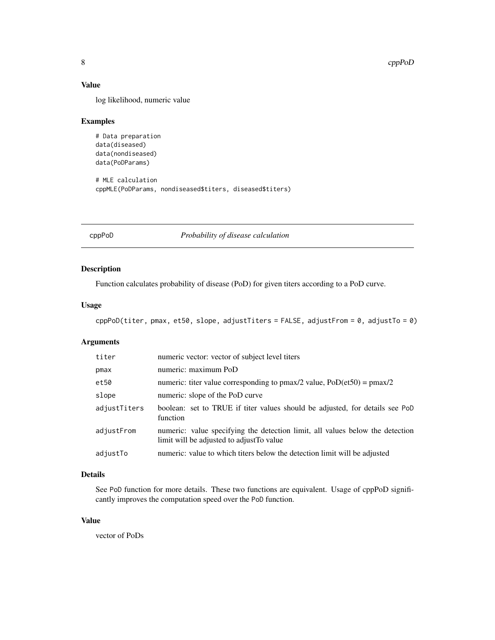## <span id="page-7-0"></span>Value

log likelihood, numeric value

## Examples

```
# Data preparation
data(diseased)
data(nondiseased)
data(PoDParams)
# MLE calculation
```
cppMLE(PoDParams, nondiseased\$titers, diseased\$titers)

cppPoD *Probability of disease calculation*

## Description

Function calculates probability of disease (PoD) for given titers according to a PoD curve.

## Usage

```
cppPoD(titer, pmax, et50, slope, adjustTiters = FALSE, adjustFrom = 0, adjustTo = 0)
```
## Arguments

| titer        | numeric vector: vector of subject level titers                                                                             |
|--------------|----------------------------------------------------------------------------------------------------------------------------|
| pmax         | numeric: maximum PoD                                                                                                       |
| et50         | numeric: titer value corresponding to pmax/2 value, $PoD(\text{et}50) = \text{pmax}/2$                                     |
| slope        | numeric: slope of the PoD curve                                                                                            |
| adjustTiters | boolean: set to TRUE if titer values should be adjusted, for details see PoD<br>function                                   |
| adjustFrom   | numeric: value specifying the detection limit, all values below the detection<br>limit will be adjusted to adjust To value |
| adjustTo     | numeric: value to which titers below the detection limit will be adjusted                                                  |

## Details

See PoD function for more details. These two functions are equivalent. Usage of cppPoD significantly improves the computation speed over the PoD function.

## Value

vector of PoDs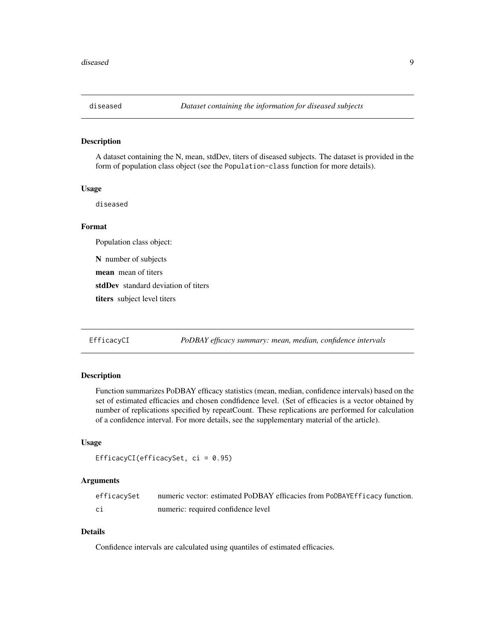<span id="page-8-0"></span>

#### Description

A dataset containing the N, mean, stdDev, titers of diseased subjects. The dataset is provided in the form of population class object (see the Population-class function for more details).

#### Usage

diseased

## Format

Population class object:

N number of subjects

mean mean of titers

stdDev standard deviation of titers

titers subject level titers

EfficacyCI *PoDBAY efficacy summary: mean, median, confidence intervals*

#### Description

Function summarizes PoDBAY efficacy statistics (mean, median, confidence intervals) based on the set of estimated efficacies and chosen condfidence level. (Set of efficacies is a vector obtained by number of replications specified by repeatCount. These replications are performed for calculation of a confidence interval. For more details, see the supplementary material of the article).

## Usage

```
EfficacyCI(efficacySet, ci = 0.95)
```
## Arguments

| efficacySet | numeric vector: estimated PoDBAY efficacies from PoDBAYEfficacy function. |
|-------------|---------------------------------------------------------------------------|
| C1          | numeric: required confidence level                                        |

## Details

Confidence intervals are calculated using quantiles of estimated efficacies.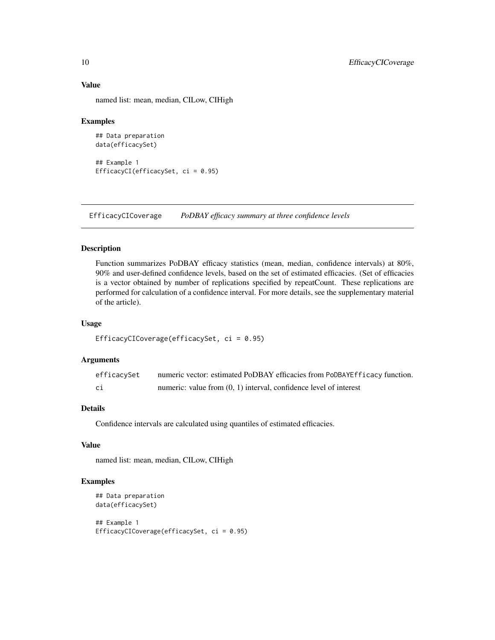## Value

named list: mean, median, CILow, CIHigh

#### Examples

```
## Data preparation
data(efficacySet)
## Example 1
EfficacyCI(efficacySet, ci = 0.95)
```
EfficacyCICoverage *PoDBAY efficacy summary at three confidence levels*

## Description

Function summarizes PoDBAY efficacy statistics (mean, median, confidence intervals) at 80%, 90% and user-defined confidence levels, based on the set of estimated efficacies. (Set of efficacies is a vector obtained by number of replications specified by repeatCount. These replications are performed for calculation of a confidence interval. For more details, see the supplementary material of the article).

#### Usage

```
EfficacyCICoverage(efficacySet, ci = 0.95)
```
## Arguments

| efficacySet | numeric vector: estimated PoDBAY efficacies from PoDBAYEfficacy function. |
|-------------|---------------------------------------------------------------------------|
| сi          | numeric: value from $(0, 1)$ interval, confidence level of interest       |

## Details

Confidence intervals are calculated using quantiles of estimated efficacies.

## Value

named list: mean, median, CILow, CIHigh

#### Examples

```
## Data preparation
data(efficacySet)
## Example 1
EfficacyCICoverage(efficacySet, ci = 0.95)
```
<span id="page-9-0"></span>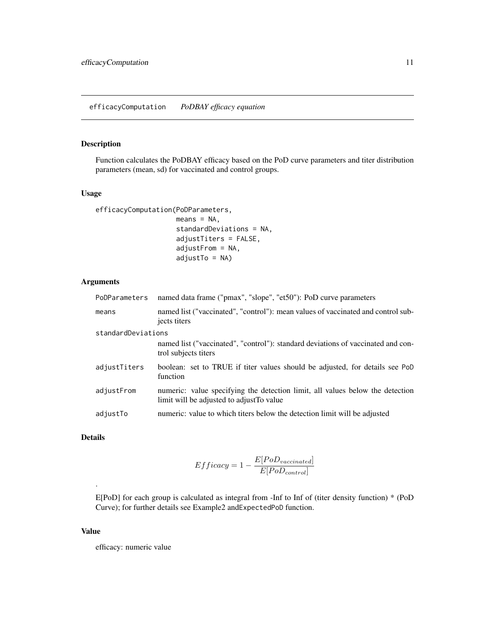## <span id="page-10-0"></span>Description

Function calculates the PoDBAY efficacy based on the PoD curve parameters and titer distribution parameters (mean, sd) for vaccinated and control groups.

#### Usage

```
efficacyComputation(PoDParameters,
                    means = NA,
```

```
standardDeviations = NA,
adjustTiters = FALSE,
adjustFrom = NA,
adjustTo = NA)
```
## Arguments

| PoDParameters | named data frame ("pmax", "slope", "et50"): PoD curve parameters                                                           |  |  |  |  |  |
|---------------|----------------------------------------------------------------------------------------------------------------------------|--|--|--|--|--|
| means         | named list ("vaccinated", "control"): mean values of vaccinated and control sub-<br>jects titers                           |  |  |  |  |  |
|               | standardDeviations                                                                                                         |  |  |  |  |  |
|               | named list ("vaccinated", "control"): standard deviations of vaccinated and con-<br>trol subjects titers                   |  |  |  |  |  |
| adjustTiters  | boolean: set to TRUE if titer values should be adjusted, for details see PoD<br>function                                   |  |  |  |  |  |
| adjustFrom    | numeric: value specifying the detection limit, all values below the detection<br>limit will be adjusted to adjust To value |  |  |  |  |  |
| adjustTo      | numeric: value to which titers below the detection limit will be adjusted                                                  |  |  |  |  |  |

## Details

.

$$
Efficacy = 1 - \frac{E[PoD_{vacinated}]}{E[PoD_{control}]}
$$

E[PoD] for each group is calculated as integral from -Inf to Inf of (titer density function) \* (PoD Curve); for further details see Example2 andExpectedPoD function.

#### Value

efficacy: numeric value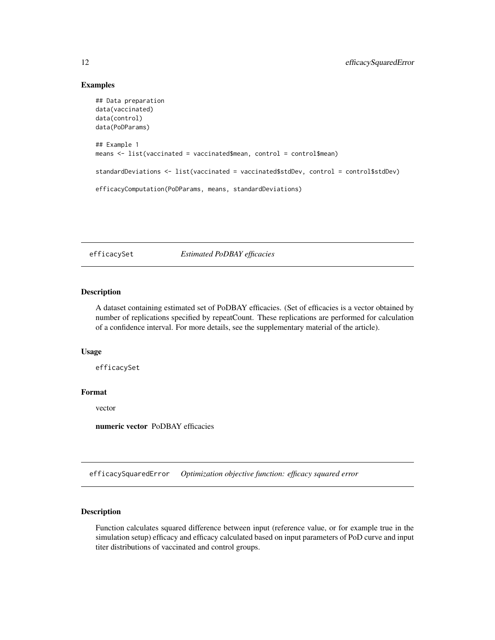## Examples

```
## Data preparation
data(vaccinated)
data(control)
data(PoDParams)
## Example 1
means <- list(vaccinated = vaccinated$mean, control = control$mean)
standardDeviations <- list(vaccinated = vaccinated$stdDev, control = control$stdDev)
efficacyComputation(PoDParams, means, standardDeviations)
```
efficacySet *Estimated PoDBAY efficacies*

#### Description

A dataset containing estimated set of PoDBAY efficacies. (Set of efficacies is a vector obtained by number of replications specified by repeatCount. These replications are performed for calculation of a confidence interval. For more details, see the supplementary material of the article).

#### Usage

efficacySet

## Format

vector

numeric vector PoDBAY efficacies

efficacySquaredError *Optimization objective function: efficacy squared error*

#### Description

Function calculates squared difference between input (reference value, or for example true in the simulation setup) efficacy and efficacy calculated based on input parameters of PoD curve and input titer distributions of vaccinated and control groups.

<span id="page-11-0"></span>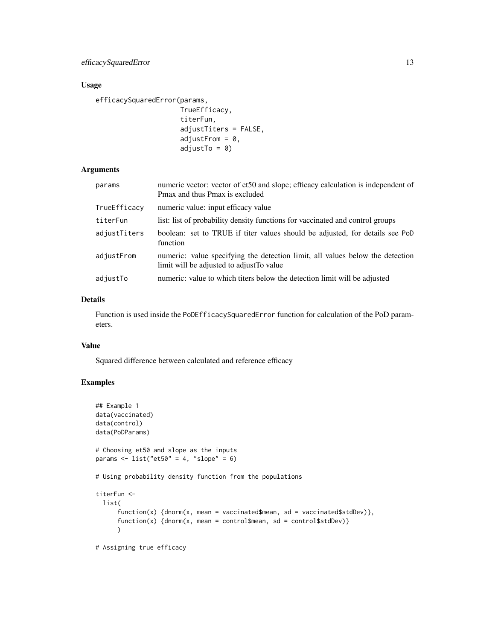## Usage

efficacySquaredError(params,

```
TrueEfficacy,
titerFun,
adjustTiters = FALSE,
adjustFrom = 0,
adjustTo = 0)
```
## Arguments

| params       | numeric vector: vector of et50 and slope; efficacy calculation is independent of<br>Pmax and thus Pmax is excluded         |
|--------------|----------------------------------------------------------------------------------------------------------------------------|
| TrueEfficacy | numeric value: input efficacy value                                                                                        |
| titerFun     | list: list of probability density functions for vaccinated and control groups                                              |
| adjustTiters | boolean: set to TRUE if titer values should be adjusted, for details see PoD<br>function                                   |
| adjustFrom   | numeric: value specifying the detection limit, all values below the detection<br>limit will be adjusted to adjust To value |
| adjustTo     | numeric: value to which titers below the detection limit will be adjusted                                                  |

## Details

Function is used inside the PoDEfficacySquaredError function for calculation of the PoD parameters.

## Value

Squared difference between calculated and reference efficacy

## Examples

```
## Example 1
data(vaccinated)
data(control)
data(PoDParams)
# Choosing et50 and slope as the inputs
params \le list("et50" = 4, "slope" = 6)
# Using probability density function from the populations
titerFun <-
  list(
      function(x) {dnorm(x, mean = vaccinated$mean, sd = vaccinated$stdDev)},
      function(x) {dnorm(x, mean = control$mean, sd = control$stdDev)}
      \mathcal{L}
```
# Assigning true efficacy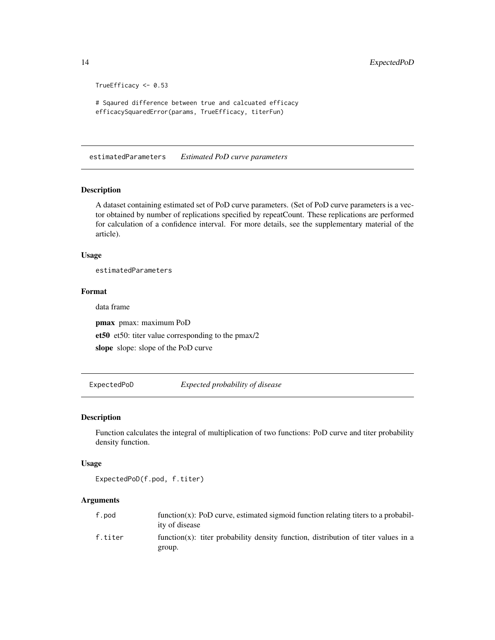```
TrueEfficacy <- 0.53
# Sqaured difference between true and calcuated efficacy
efficacySquaredError(params, TrueEfficacy, titerFun)
```
estimatedParameters *Estimated PoD curve parameters*

#### Description

A dataset containing estimated set of PoD curve parameters. (Set of PoD curve parameters is a vector obtained by number of replications specified by repeatCount. These replications are performed for calculation of a confidence interval. For more details, see the supplementary material of the article).

#### Usage

estimatedParameters

#### Format

data frame

pmax pmax: maximum PoD et50 et50: titer value corresponding to the pmax/2 slope slope: slope of the PoD curve

ExpectedPoD *Expected probability of disease*

#### Description

Function calculates the integral of multiplication of two functions: PoD curve and titer probability density function.

#### Usage

ExpectedPoD(f.pod, f.titer)

## Arguments

| f.pod   | function $(x)$ : PoD curve, estimated sigmoid function relating titers to a probabil-<br>ity of disease |
|---------|---------------------------------------------------------------------------------------------------------|
| f.titer | function(x): titer probability density function, distribution of titer values in a<br>group.            |

<span id="page-13-0"></span>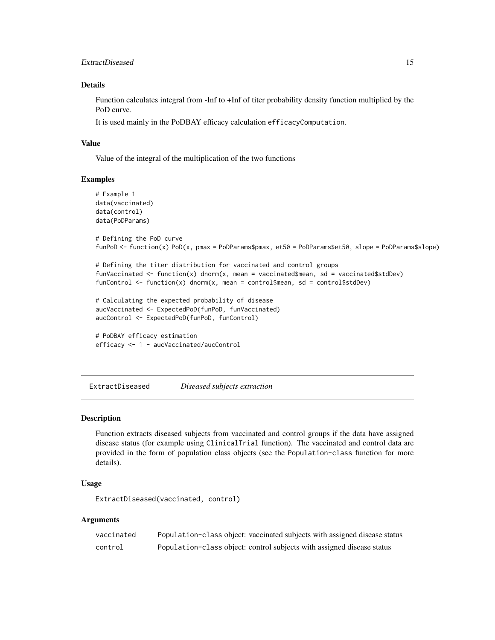## <span id="page-14-0"></span>ExtractDiseased 15

## Details

Function calculates integral from -Inf to +Inf of titer probability density function multiplied by the PoD curve.

It is used mainly in the PoDBAY efficacy calculation efficacyComputation.

## Value

Value of the integral of the multiplication of the two functions

#### Examples

```
# Example 1
data(vaccinated)
data(control)
data(PoDParams)
# Defining the PoD curve
funPoD <- function(x) PoD(x, pmax = PoDParams$pmax, et50 = PoDParams$et50, slope = PoDParams$slope)
# Defining the titer distribution for vaccinated and control groups
funVaccinated \leq function(x) dnorm(x, mean = vaccinated$mean, sd = vaccinated$stdDev)
funControl \leq function(x) dnorm(x, mean = control$mean, sd = control$stdDev)
# Calculating the expected probability of disease
aucVaccinated <- ExpectedPoD(funPoD, funVaccinated)
aucControl <- ExpectedPoD(funPoD, funControl)
# PoDBAY efficacy estimation
efficacy <- 1 - aucVaccinated/aucControl
```
ExtractDiseased *Diseased subjects extraction*

## **Description**

Function extracts diseased subjects from vaccinated and control groups if the data have assigned disease status (for example using ClinicalTrial function). The vaccinated and control data are provided in the form of population class objects (see the Population-class function for more details).

## Usage

ExtractDiseased(vaccinated, control)

## Arguments

| vaccinated | Population-class object: vaccinated subjects with assigned disease status |
|------------|---------------------------------------------------------------------------|
| control    | Population-class object: control subjects with assigned disease status    |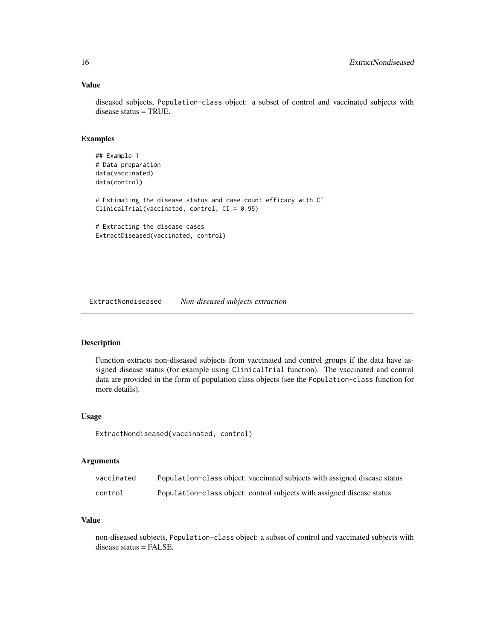## Value

diseased subjects, Population-class object: a subset of control and vaccinated subjects with disease status = TRUE.

## Examples

```
## Example 1
# Data preparation
data(vaccinated)
data(control)
# Estimating the disease status and case-count efficacy with CI
ClinicalTrial(vaccinated, control, CI = 0.95)
# Extracting the disease cases
ExtractDiseased(vaccinated, control)
```
ExtractNondiseased *Non-diseased subjects extraction*

## Description

Function extracts non-diseased subjects from vaccinated and control groups if the data have assigned disease status (for example using ClinicalTrial function). The vaccinated and control data are provided in the form of population class objects (see the Population-class function for more details).

#### Usage

ExtractNondiseased(vaccinated, control)

#### Arguments

| vaccinated | Population-class object: vaccinated subjects with assigned disease status |
|------------|---------------------------------------------------------------------------|
| control    | Population-class object: control subjects with assigned disease status    |

## Value

non-diseased subjects, Population-class object: a subset of control and vaccinated subjects with disease status = FALSE.

<span id="page-15-0"></span>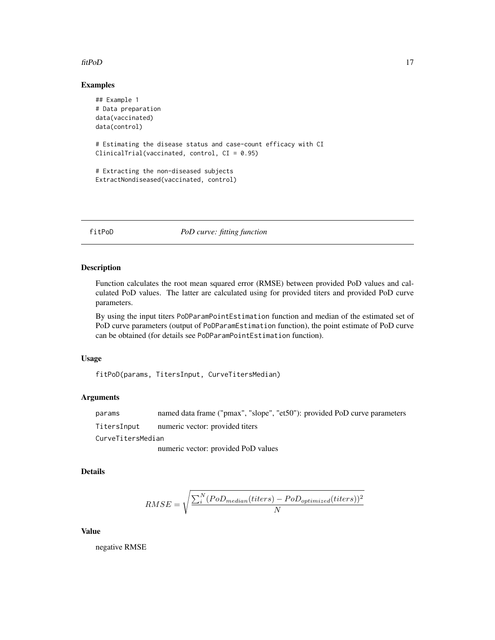## <span id="page-16-0"></span>fitPoD 17

## Examples

```
## Example 1
# Data preparation
data(vaccinated)
data(control)
# Estimating the disease status and case-count efficacy with CI
ClinicalTrial(vaccinated, control, CI = 0.95)
# Extracting the non-diseased subjects
ExtractNondiseased(vaccinated, control)
```
fitPoD *PoD curve: fitting function*

## Description

Function calculates the root mean squared error (RMSE) between provided PoD values and calculated PoD values. The latter are calculated using for provided titers and provided PoD curve parameters.

By using the input titers PoDParamPointEstimation function and median of the estimated set of PoD curve parameters (output of PoDParamEstimation function), the point estimate of PoD curve can be obtained (for details see PoDParamPointEstimation function).

#### Usage

fitPoD(params, TitersInput, CurveTitersMedian)

## Arguments

params named data frame ("pmax", "slope", "et50"): provided PoD curve parameters

TitersInput numeric vector: provided titers

CurveTitersMedian

numeric vector: provided PoD values

## Details

$$
RMSE = \sqrt{\frac{\sum_{i}^{N}(PoD_{median}(titers) - PoD_{optimized}(titers))^{2}}{N}}
$$

#### Value

negative RMSE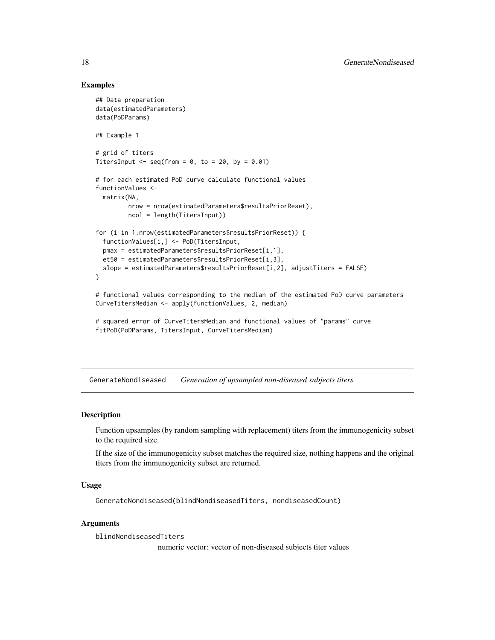## Examples

```
## Data preparation
data(estimatedParameters)
data(PoDParams)
## Example 1
# grid of titers
TitersInput \leq seq(from = 0, to = 20, by = 0.01)
# for each estimated PoD curve calculate functional values
functionValues <-
 matrix(NA,
        nrow = nrow(estimatedParameters$resultsPriorReset),
        ncol = length(TitersInput))
for (i in 1:nrow(estimatedParameters$resultsPriorReset)) {
 functionValues[i,] <- PoD(TitersInput,
 pmax = estimatedParameters$resultsPriorReset[i,1],
 et50 = estimatedParameters$resultsPriorReset[i,3],
 slope = estimatedParameters$resultsPriorReset[i,2], adjustTiters = FALSE)
}
# functional values corresponding to the median of the estimated PoD curve parameters
CurveTitersMedian <- apply(functionValues, 2, median)
```

```
# squared error of CurveTitersMedian and functional values of "params" curve
fitPoD(PoDParams, TitersInput, CurveTitersMedian)
```
GenerateNondiseased *Generation of upsampled non-diseased subjects titers*

## Description

Function upsamples (by random sampling with replacement) titers from the immunogenicity subset to the required size.

If the size of the immunogenicity subset matches the required size, nothing happens and the original titers from the immunogenicity subset are returned.

## Usage

GenerateNondiseased(blindNondiseasedTiters, nondiseasedCount)

#### Arguments

blindNondiseasedTiters

numeric vector: vector of non-diseased subjects titer values

<span id="page-17-0"></span>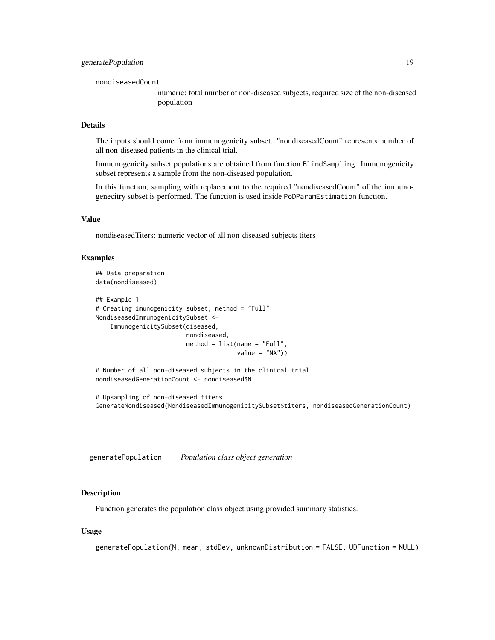<span id="page-18-0"></span>nondiseasedCount

numeric: total number of non-diseased subjects, required size of the non-diseased population

## Details

The inputs should come from immunogenicity subset. "nondiseasedCount" represents number of all non-diseased patients in the clinical trial.

Immunogenicity subset populations are obtained from function BlindSampling. Immunogenicity subset represents a sample from the non-diseased population.

In this function, sampling with replacement to the required "nondiseasedCount" of the immunogenecitry subset is performed. The function is used inside PoDParamEstimation function.

#### Value

nondiseasedTiters: numeric vector of all non-diseased subjects titers

## Examples

```
## Data preparation
data(nondiseased)
## Example 1
# Creating imunogenicity subset, method = "Full"
NondiseasedImmunogenicitySubset <-
   ImmunogenicitySubset(diseased,
                        nondiseased,
                         method = list(name = "Full",value = "NA")# Number of all non-diseased subjects in the clinical trial
nondiseasedGenerationCount <- nondiseased$N
```
# Upsampling of non-diseased titers GenerateNondiseased(NondiseasedImmunogenicitySubset\$titers, nondiseasedGenerationCount)

generatePopulation *Population class object generation*

#### Description

Function generates the population class object using provided summary statistics.

#### Usage

```
generatePopulation(N, mean, stdDev, unknownDistribution = FALSE, UDFunction = NULL)
```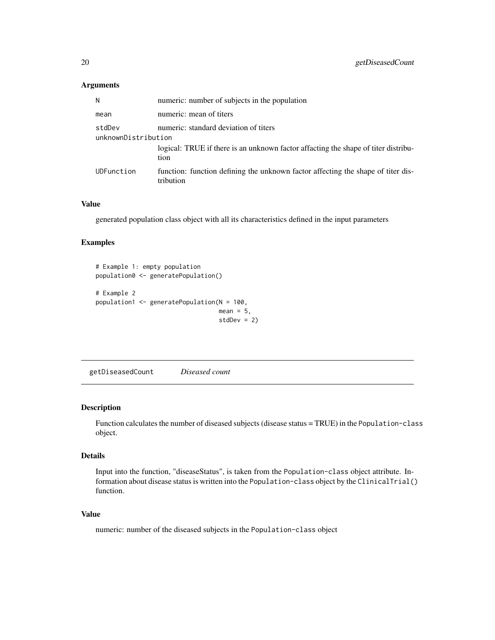## Arguments

| N                                                                      | numeric: number of subjects in the population                                                 |
|------------------------------------------------------------------------|-----------------------------------------------------------------------------------------------|
| mean                                                                   | numeric: mean of titers                                                                       |
| stdDev<br>numeric: standard deviation of titers<br>unknownDistribution |                                                                                               |
|                                                                        | logical: TRUE if there is an unknown factor affacting the shape of titer distribu-<br>tion    |
| <b>UDFunction</b>                                                      | function: function defining the unknown factor affecting the shape of titer dis-<br>tribution |

## Value

generated population class object with all its characteristics defined in the input parameters

## Examples

```
# Example 1: empty population
population0 <- generatePopulation()
# Example 2
population1 <- generatePopulation(N = 100,
                                  mean = 5,
                                  stdDev = 2)
```
getDiseasedCount *Diseased count*

#### Description

Function calculates the number of diseased subjects (disease status = TRUE) in the Population-class object.

#### Details

Input into the function, "diseaseStatus", is taken from the Population-class object attribute. Information about disease status is written into the Population-class object by the ClinicalTrial() function.

#### Value

numeric: number of the diseased subjects in the Population-class object

<span id="page-19-0"></span>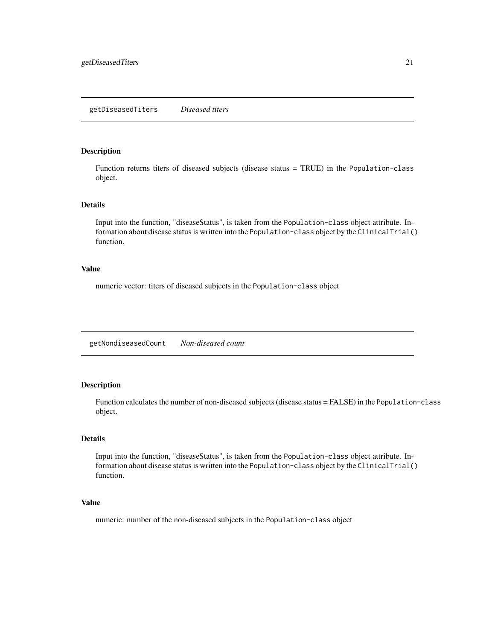## <span id="page-20-0"></span>Description

Function returns titers of diseased subjects (disease status = TRUE) in the Population-class object.

## Details

Input into the function, "diseaseStatus", is taken from the Population-class object attribute. Information about disease status is written into the Population-class object by the ClinicalTrial() function.

#### Value

numeric vector: titers of diseased subjects in the Population-class object

getNondiseasedCount *Non-diseased count*

#### Description

Function calculates the number of non-diseased subjects (disease status = FALSE) in the Population-class object.

## Details

Input into the function, "diseaseStatus", is taken from the Population-class object attribute. Information about disease status is written into the Population-class object by the ClinicalTrial() function.

## Value

numeric: number of the non-diseased subjects in the Population-class object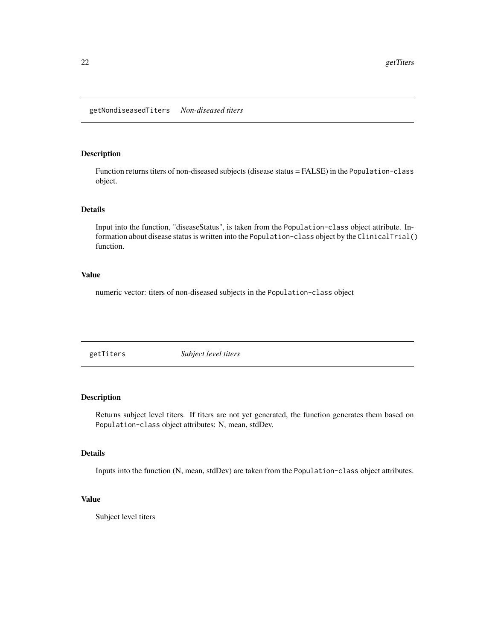<span id="page-21-0"></span>getNondiseasedTiters *Non-diseased titers*

#### Description

Function returns titers of non-diseased subjects (disease status = FALSE) in the Population-class object.

## Details

Input into the function, "diseaseStatus", is taken from the Population-class object attribute. Information about disease status is written into the Population-class object by the ClinicalTrial() function.

## Value

numeric vector: titers of non-diseased subjects in the Population-class object

getTiters *Subject level titers*

## Description

Returns subject level titers. If titers are not yet generated, the function generates them based on Population-class object attributes: N, mean, stdDev.

## Details

Inputs into the function (N, mean, stdDev) are taken from the Population-class object attributes.

## Value

Subject level titers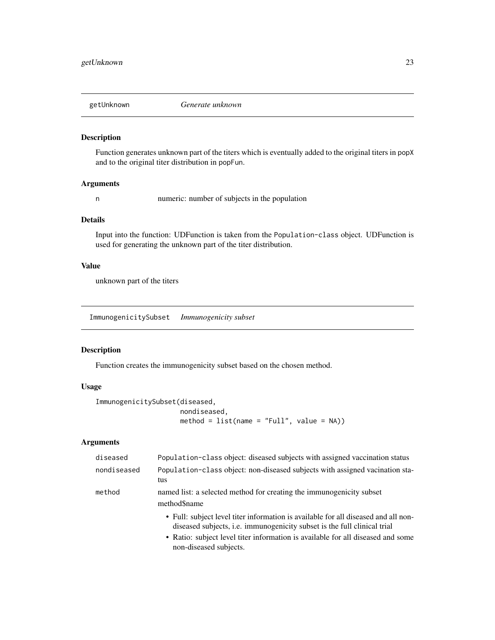<span id="page-22-0"></span>

## Description

Function generates unknown part of the titers which is eventually added to the original titers in popX and to the original titer distribution in popFun.

#### Arguments

n numeric: number of subjects in the population

## Details

Input into the function: UDFunction is taken from the Population-class object. UDFunction is used for generating the unknown part of the titer distribution.

## Value

unknown part of the titers

ImmunogenicitySubset *Immunogenicity subset*

#### Description

Function creates the immunogenicity subset based on the chosen method.

## Usage

```
ImmunogenicitySubset(diseased,
                     nondiseased,
                     method = list(name = "Full", value = NA))
```
## Arguments

| diseased    | Population-class object: diseased subjects with assigned vaccination status                                                                                                                                                                                                 |
|-------------|-----------------------------------------------------------------------------------------------------------------------------------------------------------------------------------------------------------------------------------------------------------------------------|
| nondiseased | Population-class object: non-diseased subjects with assigned vacination sta-<br>tus                                                                                                                                                                                         |
| method      | named list: a selected method for creating the immunogenicity subset<br>method\$name                                                                                                                                                                                        |
|             | • Full: subject level titer information is available for all diseased and all non-<br>diseased subjects, i.e. immunogenicity subset is the full clinical trial<br>• Ratio: subject level titer information is available for all diseased and some<br>non-diseased subjects. |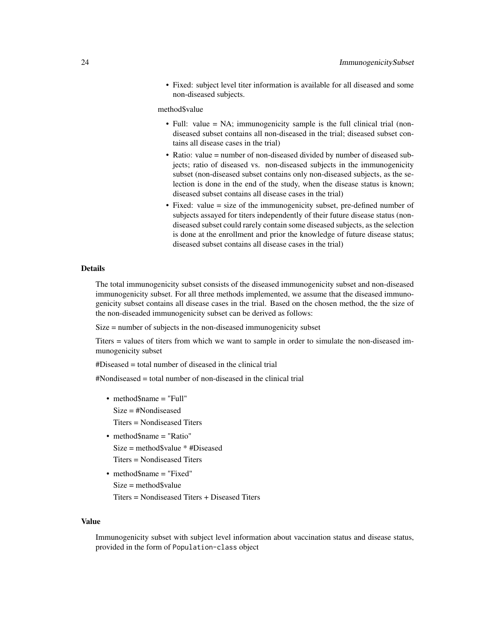• Fixed: subject level titer information is available for all diseased and some non-diseased subjects.

method\$value

- Full: value = NA; immunogenicity sample is the full clinical trial (nondiseased subset contains all non-diseased in the trial; diseased subset contains all disease cases in the trial)
- Ratio: value = number of non-diseased divided by number of diseased subjects; ratio of diseased vs. non-diseased subjects in the immunogenicity subset (non-diseased subset contains only non-diseased subjects, as the selection is done in the end of the study, when the disease status is known; diseased subset contains all disease cases in the trial)
- Fixed: value = size of the immunogenicity subset, pre-defined number of subjects assayed for titers independently of their future disease status (nondiseased subset could rarely contain some diseased subjects, as the selection is done at the enrollment and prior the knowledge of future disease status; diseased subset contains all disease cases in the trial)

#### Details

The total immunogenicity subset consists of the diseased immunogenicity subset and non-diseased immunogenicity subset. For all three methods implemented, we assume that the diseased immunogenicity subset contains all disease cases in the trial. Based on the chosen method, the the size of the non-diseaded immunogenicity subset can be derived as follows:

Size = number of subjects in the non-diseased immunogenicity subset

Titers = values of titers from which we want to sample in order to simulate the non-diseased immunogenicity subset

#Diseased = total number of diseased in the clinical trial

#Nondiseased = total number of non-diseased in the clinical trial

- method\$name = "Full" Size = #Nondiseased
	- Titers = Nondiseased Titers
- method\$name = "Ratio" Size = method\$value \* #Diseased Titers = Nondiseased Titers
- method\$name = "Fixed" Size = method\$value Titers = Nondiseased Titers + Diseased Titers

#### Value

Immunogenicity subset with subject level information about vaccination status and disease status, provided in the form of Population-class object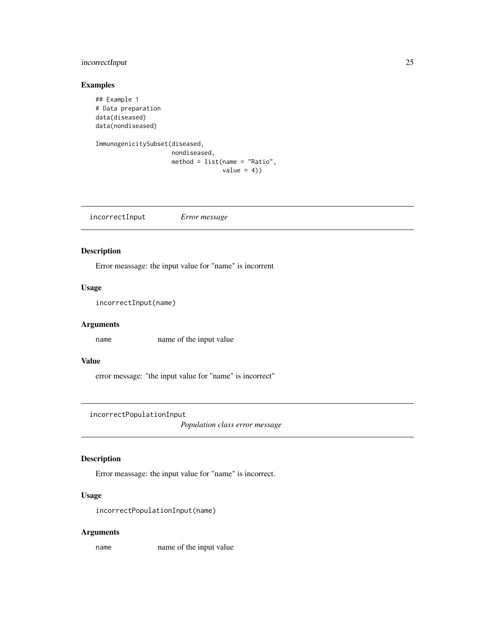## <span id="page-24-0"></span>incorrectInput 25

## Examples

```
## Example 1
# Data preparation
data(diseased)
data(nondiseased)
```

```
ImmunogenicitySubset(diseased,
                     nondiseased,
                     method = list(name = "Ratio",
                                   value = 4))
```
incorrectInput *Error message*

## Description

Error meassage: the input value for "name" is incorrent

#### Usage

incorrectInput(name)

## Arguments

name name of the input value

## Value

error message: "the input value for "name" is incorrect"

incorrectPopulationInput

*Population class error message*

## Description

Error meassage: the input value for "name" is incorrect.

## Usage

incorrectPopulationInput(name)

#### Arguments

name name of the input value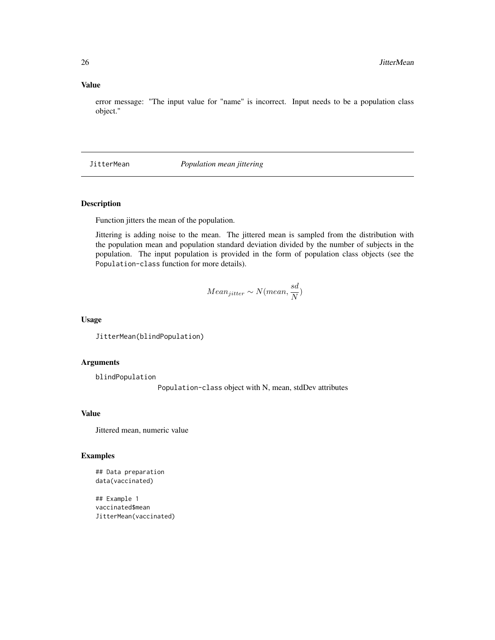## <span id="page-25-0"></span>Value

error message: "The input value for "name" is incorrect. Input needs to be a population class object."

## JitterMean *Population mean jittering*

## Description

Function jitters the mean of the population.

Jittering is adding noise to the mean. The jittered mean is sampled from the distribution with the population mean and population standard deviation divided by the number of subjects in the population. The input population is provided in the form of population class objects (see the Population-class function for more details).

$$
Mean_{jitter} \sim N(mean, \frac{sd}{N})
$$

#### Usage

JitterMean(blindPopulation)

#### Arguments

blindPopulation

Population-class object with N, mean, stdDev attributes

## Value

Jittered mean, numeric value

#### Examples

## Data preparation data(vaccinated)

## Example 1 vaccinated\$mean JitterMean(vaccinated)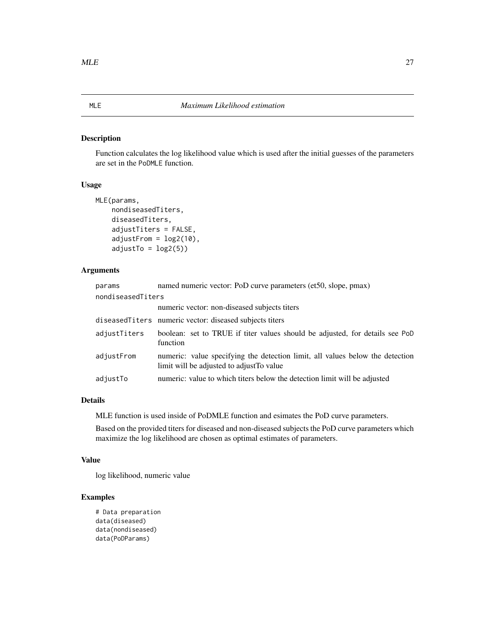## <span id="page-26-0"></span>Description

Function calculates the log likelihood value which is used after the initial guesses of the parameters are set in the PoDMLE function.

#### Usage

```
MLE(params,
    nondiseasedTiters,
    diseasedTiters,
    adjustTiters = FALSE,
    adjustFrom = log2(10),
    adjustTo = log2(5)
```
## Arguments

| params            | named numeric vector: PoD curve parameters (et50, slope, pmax)                                                             |
|-------------------|----------------------------------------------------------------------------------------------------------------------------|
| nondiseasedTiters |                                                                                                                            |
|                   | numeric vector: non-diseased subjects titers                                                                               |
|                   | diseased Titers numeric vector: diseased subjects titers                                                                   |
| adjustTiters      | boolean: set to TRUE if titer values should be adjusted, for details see PoD<br>function                                   |
| adjustFrom        | numeric: value specifying the detection limit, all values below the detection<br>limit will be adjusted to adjust To value |
| adjustTo          | numeric: value to which titers below the detection limit will be adjusted                                                  |

## Details

MLE function is used inside of PoDMLE function and esimates the PoD curve parameters.

Based on the provided titers for diseased and non-diseased subjects the PoD curve parameters which maximize the log likelihood are chosen as optimal estimates of parameters.

#### Value

log likelihood, numeric value

## Examples

```
# Data preparation
data(diseased)
data(nondiseased)
data(PoDParams)
```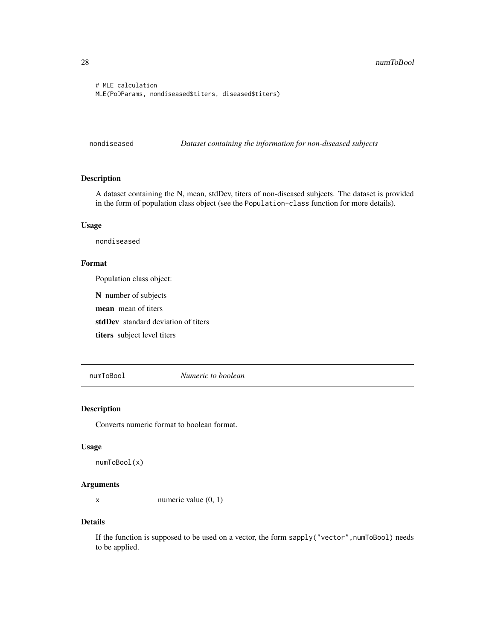```
# MLE calculation
MLE(PoDParams, nondiseased$titers, diseased$titers)
```
nondiseased *Dataset containing the information for non-diseased subjects*

## Description

A dataset containing the N, mean, stdDev, titers of non-diseased subjects. The dataset is provided in the form of population class object (see the Population-class function for more details).

## Usage

nondiseased

## Format

Population class object:

N number of subjects

mean mean of titers

stdDev standard deviation of titers

titers subject level titers

numToBool *Numeric to boolean*

## Description

Converts numeric format to boolean format.

#### Usage

```
numToBool(x)
```
## Arguments

x numeric value (0, 1)

#### Details

If the function is supposed to be used on a vector, the form sapply("vector", numToBool) needs to be applied.

<span id="page-27-0"></span>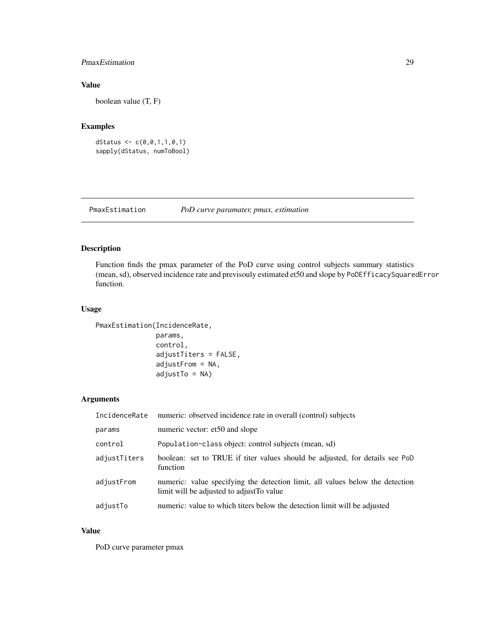## <span id="page-28-0"></span>PmaxEstimation 29

## Value

boolean value (T, F)

## Examples

```
dStatus <- c(0,0,1,1,0,1)
sapply(dStatus, numToBool)
```
PmaxEstimation *PoD curve paramater, pmax, estimation*

## Description

Function finds the pmax parameter of the PoD curve using control subjects summary statistics (mean, sd), observed incidence rate and previsouly estimated et50 and slope by PoDEfficacySquaredError function.

## Usage

```
PmaxEstimation(IncidenceRate,
```

```
params,
control,
adjustTiters = FALSE,
adjustFrom = NA,
adjustTo = NA)
```
## Arguments

| IncidenceRate | numeric: observed incidence rate in overall (control) subjects                                                             |
|---------------|----------------------------------------------------------------------------------------------------------------------------|
| params        | numeric vector: et50 and slope                                                                                             |
| control       | Population-class object: control subjects (mean, sd)                                                                       |
| adjustTiters  | boolean: set to TRUE if titer values should be adjusted, for details see PoD<br>function                                   |
| adjustFrom    | numeric: value specifying the detection limit, all values below the detection<br>limit will be adjusted to adjust To value |
| adjustTo      | numeric: value to which titers below the detection limit will be adjusted                                                  |

## Value

PoD curve parameter pmax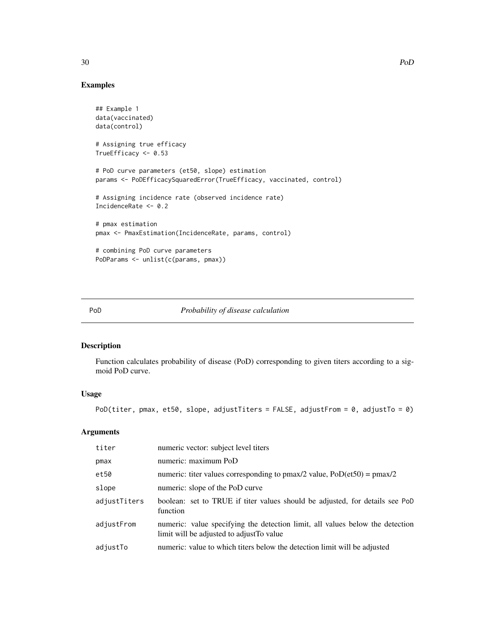## Examples

```
## Example 1
data(vaccinated)
data(control)
# Assigning true efficacy
TrueEfficacy <- 0.53
# PoD curve parameters (et50, slope) estimation
params <- PoDEfficacySquaredError(TrueEfficacy, vaccinated, control)
# Assigning incidence rate (observed incidence rate)
IncidenceRate <- 0.2
# pmax estimation
pmax <- PmaxEstimation(IncidenceRate, params, control)
# combining PoD curve parameters
PoDParams <- unlist(c(params, pmax))
```
#### PoD *Probability of disease calculation*

## Description

Function calculates probability of disease (PoD) corresponding to given titers according to a sigmoid PoD curve.

#### Usage

```
PoD(titer, pmax, et50, slope, adjustTiters = FALSE, adjustFrom = 0, adjustTo = 0)
```
## Arguments

| titer        | numeric vector: subject level titers                                                                                       |
|--------------|----------------------------------------------------------------------------------------------------------------------------|
| pmax         | numeric: maximum PoD                                                                                                       |
| et50         | numeric: titer values corresponding to pmax/2 value, $PoD(\text{et}50) = \text{pmax}/2$                                    |
| slope        | numeric: slope of the PoD curve                                                                                            |
| adjustTiters | boolean: set to TRUE if titer values should be adjusted, for details see PoD<br>function                                   |
| adjustFrom   | numeric: value specifying the detection limit, all values below the detection<br>limit will be adjusted to adjust To value |
| adjustTo     | numeric: value to which titers below the detection limit will be adjusted                                                  |

<span id="page-29-0"></span>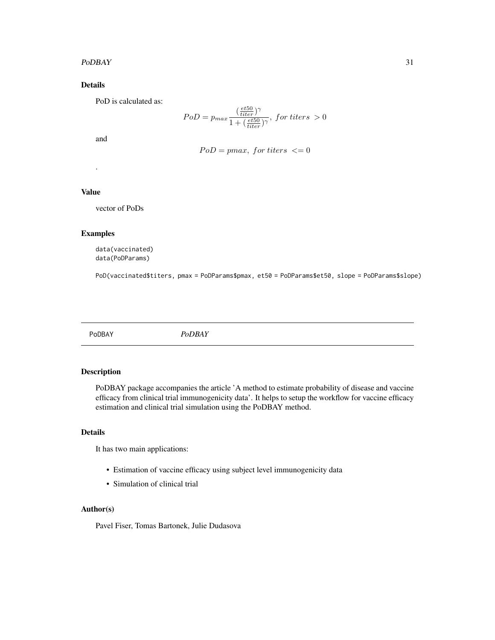#### <span id="page-30-0"></span> $PoDBAY$  31

## Details

PoD is calculated as:

$$
PoD = p_{max} \frac{(\frac{et50}{titer})^{\gamma}}{1 + (\frac{et50}{titer})^{\gamma}}, \text{ for titers } > 0
$$

and

$$
PoD = pmax, for titers \leq 0
$$

Value

.

vector of PoDs

## Examples

data(vaccinated) data(PoDParams)

PoD(vaccinated\$titers, pmax = PoDParams\$pmax, et50 = PoDParams\$et50, slope = PoDParams\$slope)

PoDBAY *PoDBAY*

## Description

PoDBAY package accompanies the article 'A method to estimate probability of disease and vaccine efficacy from clinical trial immunogenicity data'. It helps to setup the workflow for vaccine efficacy estimation and clinical trial simulation using the PoDBAY method.

## Details

It has two main applications:

- Estimation of vaccine efficacy using subject level immunogenicity data
- Simulation of clinical trial

#### Author(s)

Pavel Fiser, Tomas Bartonek, Julie Dudasova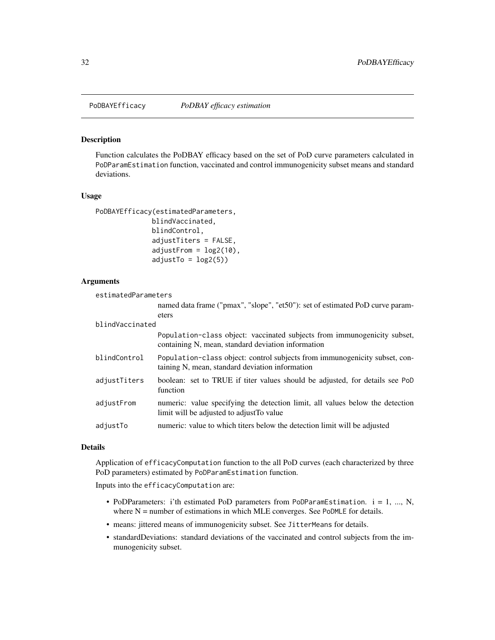<span id="page-31-0"></span>

#### Description

Function calculates the PoDBAY efficacy based on the set of PoD curve parameters calculated in PoDParamEstimation function, vaccinated and control immunogenicity subset means and standard deviations.

#### Usage

```
PoDBAYEfficacy(estimatedParameters,
              blindVaccinated,
              blindControl,
              adjustTiters = FALSE,
              adjustFrom = log2(10),
              adjustTo = log2(5)
```
#### Arguments

```
estimatedParameters
```
named data frame ("pmax", "slope", "et50"): set of estimated PoD curve parameters

#### blindVaccinated

|              | Population-class object: vaccinated subjects from immunogenicity subset,<br>containing N, mean, standard deviation information |
|--------------|--------------------------------------------------------------------------------------------------------------------------------|
| blindControl | Population-class object: control subjects from immunogenicity subset, con-<br>taining N, mean, standard deviation information  |
| adjustTiters | boolean: set to TRUE if titer values should be adjusted, for details see PoD<br>function                                       |
| adjustFrom   | numeric: value specifying the detection limit, all values below the detection<br>limit will be adjusted to adjust To value     |
| adjustTo     | numeric: value to which titers below the detection limit will be adjusted                                                      |

#### Details

Application of efficacyComputation function to the all PoD curves (each characterized by three PoD parameters) estimated by PoDParamEstimation function.

Inputs into the efficacyComputation are:

- PoDParameters: i'th estimated PoD parameters from PoDParamEstimation. i = 1, ..., N, where  $N =$  number of estimations in which MLE converges. See PoDMLE for details.
- means: jittered means of immunogenicity subset. See JitterMeans for details.
- standardDeviations: standard deviations of the vaccinated and control subjects from the immunogenicity subset.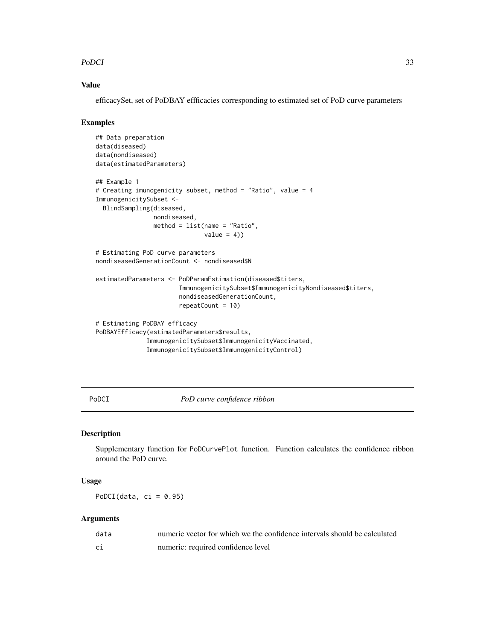#### <span id="page-32-0"></span> $PoDCI$  33

## Value

efficacySet, set of PoDBAY effficacies corresponding to estimated set of PoD curve parameters

#### Examples

```
## Data preparation
data(diseased)
data(nondiseased)
data(estimatedParameters)
## Example 1
# Creating imunogenicity subset, method = "Ratio", value = 4
ImmunogenicitySubset <-
 BlindSampling(diseased,
                nondiseased,
                method = list(name = "Ratio",
                              value = 4)# Estimating PoD curve parameters
nondiseasedGenerationCount <- nondiseased$N
estimatedParameters <- PoDParamEstimation(diseased$titers,
                       ImmunogenicitySubset$ImmunogenicityNondiseased$titers,
                       nondiseasedGenerationCount,
                       repeatCount = 10)
# Estimating PoDBAY efficacy
PoDBAYEfficacy(estimatedParameters$results,
              ImmunogenicitySubset$ImmunogenicityVaccinated,
              ImmunogenicitySubset$ImmunogenicityControl)
```
PoDCI *PoD curve confidence ribbon*

## Description

Supplementary function for PoDCurvePlot function. Function calculates the confidence ribbon around the PoD curve.

## Usage

PoDCI(data,  $ci = 0.95$ )

#### Arguments

| data | numeric vector for which we the confidence intervals should be calculated |
|------|---------------------------------------------------------------------------|
| ci   | numeric: required confidence level                                        |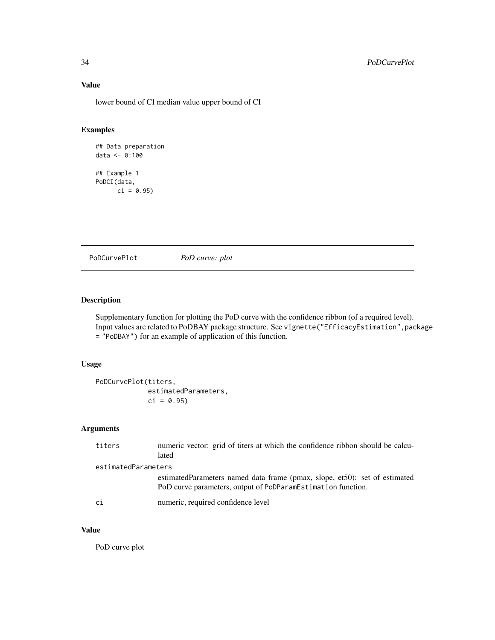## Value

lower bound of CI median value upper bound of CI

## Examples

```
## Data preparation
data <- 0:100
## Example 1
PoDCI(data,
     ci = 0.95)
```
PoDCurvePlot *PoD curve: plot*

## Description

Supplementary function for plotting the PoD curve with the confidence ribbon (of a required level). Input values are related to PoDBAY package structure. See vignette("EfficacyEstimation",package = "PoDBAY") for an example of application of this function.

## Usage

```
PoDCurvePlot(titers,
            estimatedParameters,
            ci = 0.95
```
## Arguments

| titers              | numeric vector: grid of titers at which the confidence ribbon should be calcu-<br>lated                                                     |  |
|---------------------|---------------------------------------------------------------------------------------------------------------------------------------------|--|
| estimatedParameters |                                                                                                                                             |  |
|                     | estimated Parameters named data frame (pmax, slope, et50): set of estimated<br>PoD curve parameters, output of PoDParamEstimation function. |  |
| ci                  | numeric, required confidence level                                                                                                          |  |

## Value

PoD curve plot

<span id="page-33-0"></span>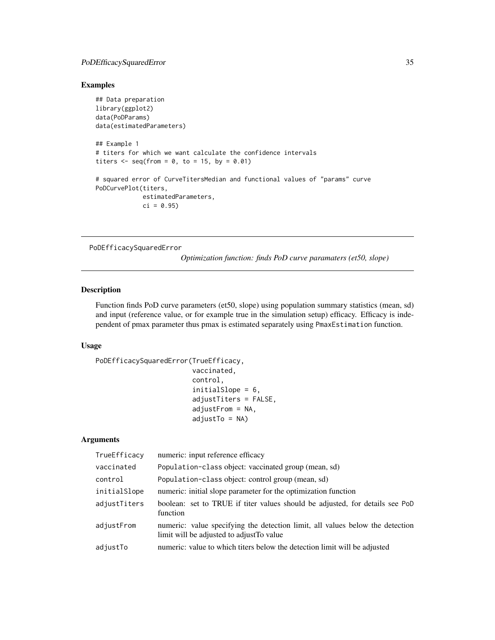## <span id="page-34-0"></span>PoDEfficacySquaredError 35

## Examples

```
## Data preparation
library(ggplot2)
data(PoDParams)
data(estimatedParameters)
## Example 1
# titers for which we want calculate the confidence intervals
titers \leq seq(from = 0, to = 15, by = 0.01)
# squared error of CurveTitersMedian and functional values of "params" curve
PoDCurvePlot(titers,
             estimatedParameters,
             ci = 0.95
```
PoDEfficacySquaredError

*Optimization function: finds PoD curve paramaters (et50, slope)*

#### Description

Function finds PoD curve parameters (et50, slope) using population summary statistics (mean, sd) and input (reference value, or for example true in the simulation setup) efficacy. Efficacy is independent of pmax parameter thus pmax is estimated separately using PmaxEstimation function.

#### Usage

```
PoDEfficacySquaredError(TrueEfficacy,
                        vaccinated,
```

```
control,
initialSlope = 6,
adjustTiters = FALSE,
adjustFrom = NA,
adjustTo = NA)
```
## Arguments

| TrueEfficacy | numeric: input reference efficacy                                                                                          |
|--------------|----------------------------------------------------------------------------------------------------------------------------|
| vaccinated   | Population-class object: vaccinated group (mean, sd)                                                                       |
| control      | Population-class object: control group (mean, sd)                                                                          |
| initialSlope | numeric: initial slope parameter for the optimization function                                                             |
| adjustTiters | boolean: set to TRUE if titer values should be adjusted, for details see PoD<br>function                                   |
| adjustFrom   | numeric: value specifying the detection limit, all values below the detection<br>limit will be adjusted to adjust To value |
| adjustTo     | numeric: value to which titers below the detection limit will be adjusted                                                  |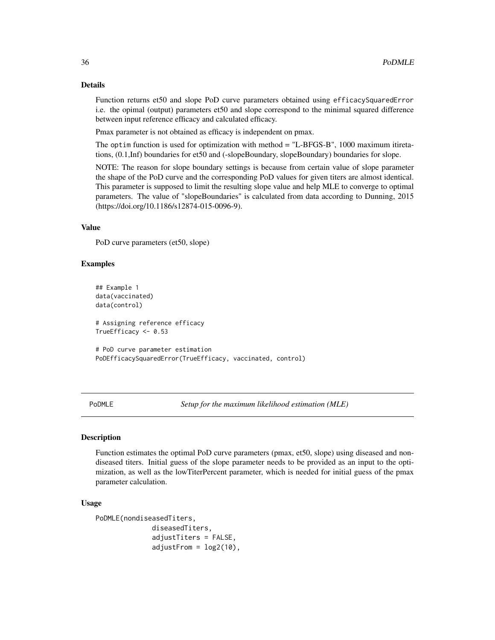## Details

Function returns et50 and slope PoD curve parameters obtained using efficacySquaredError i.e. the opimal (output) parameters et50 and slope correspond to the minimal squared difference between input reference efficacy and calculated efficacy.

Pmax parameter is not obtained as efficacy is independent on pmax.

The optim function is used for optimization with method = "L-BFGS-B", 1000 maximum itiretations, (0.1,Inf) boundaries for et50 and (-slopeBoundary, slopeBoundary) boundaries for slope.

NOTE: The reason for slope boundary settings is because from certain value of slope parameter the shape of the PoD curve and the corresponding PoD values for given titers are almost identical. This parameter is supposed to limit the resulting slope value and help MLE to converge to optimal parameters. The value of "slopeBoundaries" is calculated from data according to Dunning, 2015 (https://doi.org/10.1186/s12874-015-0096-9).

## Value

PoD curve parameters (et 50, slope)

#### Examples

```
## Example 1
data(vaccinated)
data(control)
# Assigning reference efficacy
TrueEfficacy <- 0.53
# PoD curve parameter estimation
```
PoDEfficacySquaredError(TrueEfficacy, vaccinated, control)

PoDMLE *Setup for the maximum likelihood estimation (MLE)*

## **Description**

Function estimates the optimal PoD curve parameters (pmax, et50, slope) using diseased and nondiseased titers. Initial guess of the slope parameter needs to be provided as an input to the optimization, as well as the lowTiterPercent parameter, which is needed for initial guess of the pmax parameter calculation.

#### Usage

```
PoDMLE(nondiseasedTiters,
              diseasedTiters,
              adjustTiters = FALSE,
              adjustFrom = log2(10),
```
<span id="page-35-0"></span>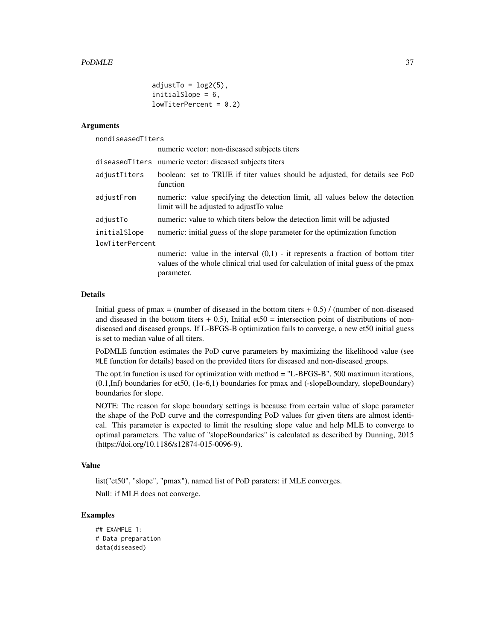```
adjustTo = log2(5),
initialSlope = 6,
lowTiterPercent = 0.2)
```
#### Arguments

nondiseasedTiters

|                 | numeric vector: non-diseased subjects titers                                                                                                                                            |  |
|-----------------|-----------------------------------------------------------------------------------------------------------------------------------------------------------------------------------------|--|
|                 | diseasedTiters numeric vector: diseased subjects titers                                                                                                                                 |  |
| adjustTiters    | boolean: set to TRUE if titer values should be adjusted, for details see PoD<br>function                                                                                                |  |
| adjustFrom      | numeric: value specifying the detection limit, all values below the detection<br>limit will be adjusted to adjust To value                                                              |  |
| adjustTo        | numeric: value to which titers below the detection limit will be adjusted                                                                                                               |  |
| initialSlope    | numeric: initial guess of the slope parameter for the optimization function                                                                                                             |  |
| lowTiterPercent |                                                                                                                                                                                         |  |
|                 | numeric: value in the interval $(0,1)$ - it represents a fraction of bottom titer<br>values of the whole clinical trial used for calculation of initial guess of the pmax<br>parameter. |  |

#### Details

Initial guess of pmax = (number of diseased in the bottom titers  $+ 0.5$ ) / (number of non-diseased and diseased in the bottom titers  $+ 0.5$ ), Initial et  $50 =$  intersection point of distributions of nondiseased and diseased groups. If L-BFGS-B optimization fails to converge, a new et50 initial guess is set to median value of all titers.

PoDMLE function estimates the PoD curve parameters by maximizing the likelihood value (see MLE function for details) based on the provided titers for diseased and non-diseased groups.

The optim function is used for optimization with method = "L-BFGS-B", 500 maximum iterations, (0.1,Inf) boundaries for et50, (1e-6,1) boundaries for pmax and (-slopeBoundary, slopeBoundary) boundaries for slope.

NOTE: The reason for slope boundary settings is because from certain value of slope parameter the shape of the PoD curve and the corresponding PoD values for given titers are almost identical. This parameter is expected to limit the resulting slope value and help MLE to converge to optimal parameters. The value of "slopeBoundaries" is calculated as described by Dunning, 2015 (https://doi.org/10.1186/s12874-015-0096-9).

## Value

list("et50", "slope", "pmax"), named list of PoD paraters: if MLE converges. Null: if MLE does not converge.

## Examples

```
## EXAMPLE 1:
# Data preparation
data(diseased)
```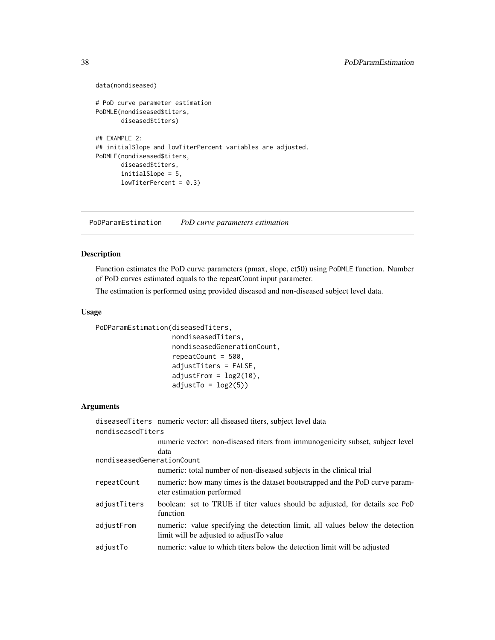```
data(nondiseased)
# PoD curve parameter estimation
PoDMLE(nondiseased$titers,
       diseased$titers)
## EXAMPLE 2:
## initialSlope and lowTiterPercent variables are adjusted.
PoDMLE(nondiseased$titers,
       diseased$titers,
       initialSlope = 5,
       lowTiterPercent = 0.3)
```
PoDParamEstimation *PoD curve parameters estimation*

## Description

Function estimates the PoD curve parameters (pmax, slope, et50) using PoDMLE function. Number of PoD curves estimated equals to the repeatCount input parameter.

The estimation is performed using provided diseased and non-diseased subject level data.

## Usage

PoDParamEstimation(diseasedTiters,

```
nondiseasedTiters,
nondiseasedGenerationCount,
repeatCount = 500,
adjustTiters = FALSE,
adjustFrom = log2(10),
adjustTo = log2(5)
```
#### Arguments

diseasedTiters numeric vector: all diseased titers, subject level data nondiseasedTiters numeric vector: non-diseased titers from immunogenicity subset, subject level data

nondiseasedGenerationCount

|              | numeric: total number of non-diseased subjects in the clinical trial                                                       |
|--------------|----------------------------------------------------------------------------------------------------------------------------|
| repeatCount  | numeric: how many times is the dataset bootstrapped and the PoD curve param-<br>eter estimation performed                  |
| adjustTiters | boolean: set to TRUE if titer values should be adjusted, for details see PoD<br>function                                   |
| adjustFrom   | numeric: value specifying the detection limit, all values below the detection<br>limit will be adjusted to adjust To value |
| adjustTo     | numeric: value to which titers below the detection limit will be adjusted                                                  |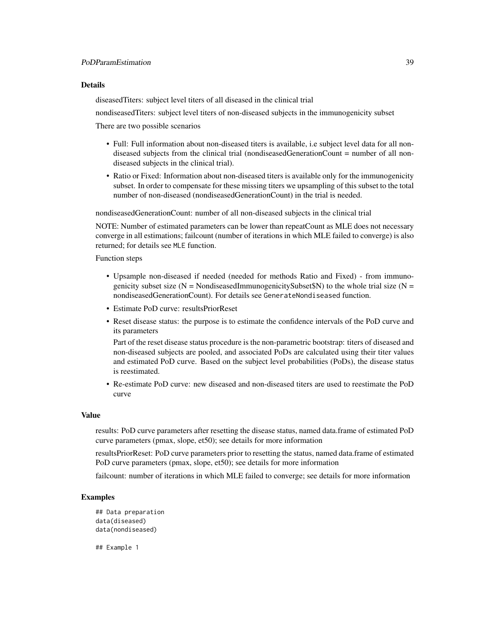## Details

diseasedTiters: subject level titers of all diseased in the clinical trial

nondiseasedTiters: subject level titers of non-diseased subjects in the immunogenicity subset

There are two possible scenarios

- Full: Full information about non-diseased titers is available, i.e subject level data for all nondiseased subjects from the clinical trial (nondiseasedGenerationCount = number of all nondiseased subjects in the clinical trial).
- Ratio or Fixed: Information about non-diseased titers is available only for the immunogenicity subset. In order to compensate for these missing titers we upsampling of this subset to the total number of non-diseased (nondiseasedGenerationCount) in the trial is needed.

nondiseasedGenerationCount: number of all non-diseased subjects in the clinical trial

NOTE: Number of estimated parameters can be lower than repeatCount as MLE does not necessary converge in all estimations; failcount (number of iterations in which MLE failed to converge) is also returned; for details see MLE function.

Function steps

- Upsample non-diseased if needed (needed for methods Ratio and Fixed) from immunogenicity subset size ( $N = \text{NondiseasedImmunogenicitySubset\$ W) to the whole trial size ( $N =$ nondiseasedGenerationCount). For details see GenerateNondiseased function.
- Estimate PoD curve: resultsPriorReset
- Reset disease status: the purpose is to estimate the confidence intervals of the PoD curve and its parameters

Part of the reset disease status procedure is the non-parametric bootstrap: titers of diseased and non-diseased subjects are pooled, and associated PoDs are calculated using their titer values and estimated PoD curve. Based on the subject level probabilities (PoDs), the disease status is reestimated.

• Re-estimate PoD curve: new diseased and non-diseased titers are used to reestimate the PoD curve

#### Value

results: PoD curve parameters after resetting the disease status, named data.frame of estimated PoD curve parameters (pmax, slope, et50); see details for more information

resultsPriorReset: PoD curve parameters prior to resetting the status, named data.frame of estimated PoD curve parameters (pmax, slope, et50); see details for more information

failcount: number of iterations in which MLE failed to converge; see details for more information

## Examples

```
## Data preparation
data(diseased)
data(nondiseased)
```
## Example 1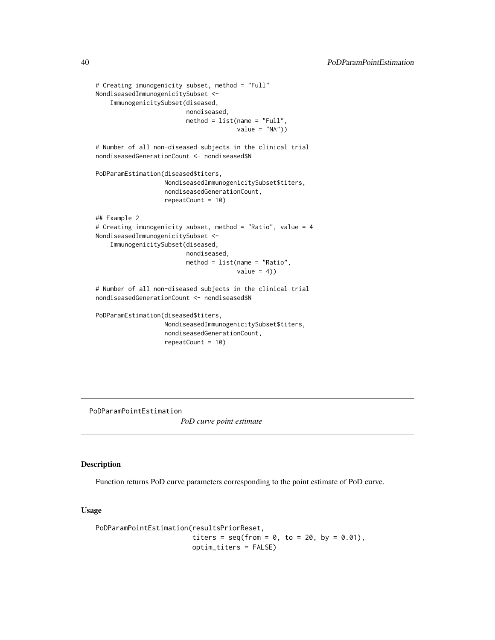```
# Creating imunogenicity subset, method = "Full"
NondiseasedImmunogenicitySubset <-
    ImmunogenicitySubset(diseased,
                        nondiseased,
                         method = list(name = "Full",value = "NA")# Number of all non-diseased subjects in the clinical trial
nondiseasedGenerationCount <- nondiseased$N
PoDParamEstimation(diseased$titers,
                  NondiseasedImmunogenicitySubset$titers,
                   nondiseasedGenerationCount,
                   repeatCount = 10)
## Example 2
# Creating imunogenicity subset, method = "Ratio", value = 4
NondiseasedImmunogenicitySubset <-
    ImmunogenicitySubset(diseased,
                         nondiseased,
                         method = list(name = "Ratio",
                                       value = 4)# Number of all non-diseased subjects in the clinical trial
nondiseasedGenerationCount <- nondiseased$N
PoDParamEstimation(diseased$titers,
                  NondiseasedImmunogenicitySubset$titers,
                   nondiseasedGenerationCount,
                   repeatCount = 10)
```
PoDParamPointEstimation

*PoD curve point estimate*

## Description

Function returns PoD curve parameters corresponding to the point estimate of PoD curve.

#### Usage

```
PoDParamPointEstimation(resultsPriorReset,
                        titers = seq(from = 0, to = 20, by = 0.01),
                       optim_titers = FALSE)
```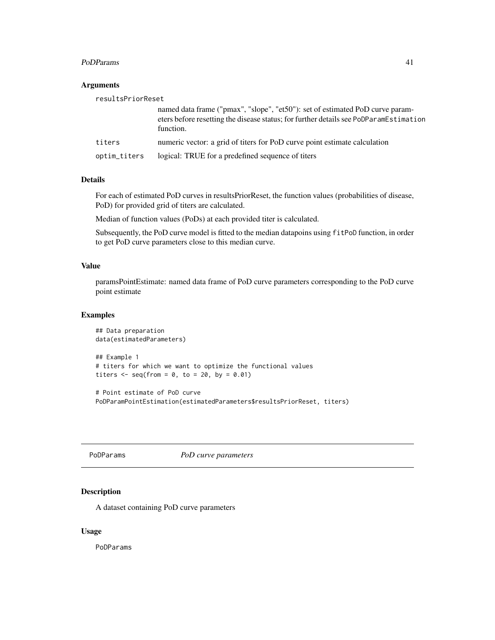#### <span id="page-40-0"></span>PoDParams 41

## Arguments

| resultsPriorReset |                                                                                                                                                                                     |
|-------------------|-------------------------------------------------------------------------------------------------------------------------------------------------------------------------------------|
|                   | named data frame ("pmax", "slope", "et50"): set of estimated PoD curve param-<br>eters before resetting the disease status; for further details see PoDParamEstimation<br>function. |
| titers            | numeric vector: a grid of titers for PoD curve point estimate calculation                                                                                                           |
| optim_titers      | logical: TRUE for a predefined sequence of titers                                                                                                                                   |

## Details

For each of estimated PoD curves in resultsPriorReset, the function values (probabilities of disease, PoD) for provided grid of titers are calculated.

Median of function values (PoDs) at each provided titer is calculated.

Subsequently, the PoD curve model is fitted to the median datapoins using fitPoD function, in order to get PoD curve parameters close to this median curve.

## Value

paramsPointEstimate: named data frame of PoD curve parameters corresponding to the PoD curve point estimate

## Examples

```
## Data preparation
data(estimatedParameters)
## Example 1
# titers for which we want to optimize the functional values
titers \leq seq(from = 0, to = 20, by = 0.01)
# Point estimate of PoD curve
```

```
PoDParamPointEstimation(estimatedParameters$resultsPriorReset, titers)
```
PoDParams *PoD curve parameters*

## Description

A dataset containing PoD curve parameters

## Usage

PoDParams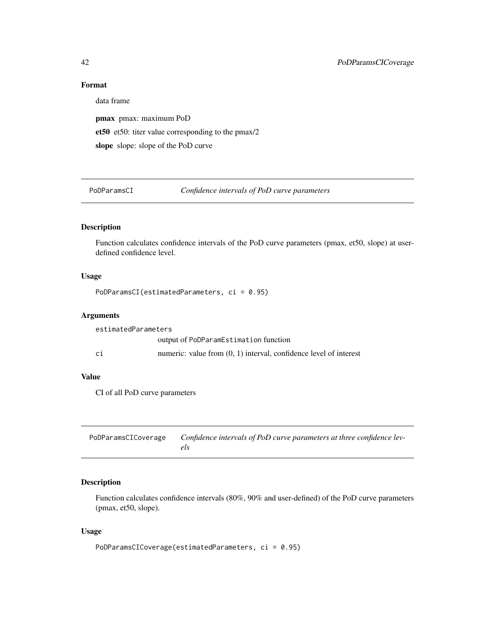## Format

data frame pmax pmax: maximum PoD et50 et50: titer value corresponding to the pmax/2 slope slope: slope of the PoD curve

PoDParamsCI *Confidence intervals of PoD curve parameters*

## Description

Function calculates confidence intervals of the PoD curve parameters (pmax, et50, slope) at userdefined confidence level.

## Usage

PoDParamsCI(estimatedParameters, ci = 0.95)

## Arguments

estimatedParameters output of PoDParamEstimation function ci numeric: value from (0, 1) interval, confidence level of interest

## Value

CI of all PoD curve parameters

| PoDParamsCICoverage | Confidence intervals of PoD curve parameters at three confidence lev- |
|---------------------|-----------------------------------------------------------------------|
|                     | els                                                                   |

## Description

Function calculates confidence intervals (80%, 90% and user-defined) of the PoD curve parameters (pmax, et50, slope).

## Usage

PoDParamsCICoverage(estimatedParameters, ci = 0.95)

<span id="page-41-0"></span>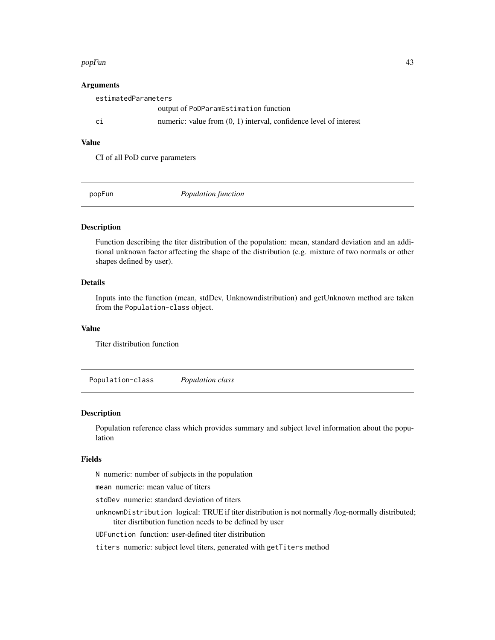#### <span id="page-42-0"></span>popFun 43

#### Arguments

|    | estimatedParameters                                                 |  |  |
|----|---------------------------------------------------------------------|--|--|
|    | output of PoDParamEstimation function                               |  |  |
| ci | numeric: value from $(0, 1)$ interval, confidence level of interest |  |  |
|    |                                                                     |  |  |

## Value

CI of all PoD curve parameters

popFun *Population function*

## Description

Function describing the titer distribution of the population: mean, standard deviation and an additional unknown factor affecting the shape of the distribution (e.g. mixture of two normals or other shapes defined by user).

## Details

Inputs into the function (mean, stdDev, Unknowndistribution) and getUnknown method are taken from the Population-class object.

## Value

Titer distribution function

Population-class *Population class*

#### Description

Population reference class which provides summary and subject level information about the population

#### Fields

N numeric: number of subjects in the population

mean numeric: mean value of titers

stdDev numeric: standard deviation of titers

unknownDistribution logical: TRUE if titer distribution is not normally /log-normally distributed; titer disrtibution function needs to be defined by user

UDFunction function: user-defined titer distribution

titers numeric: subject level titers, generated with getTiters method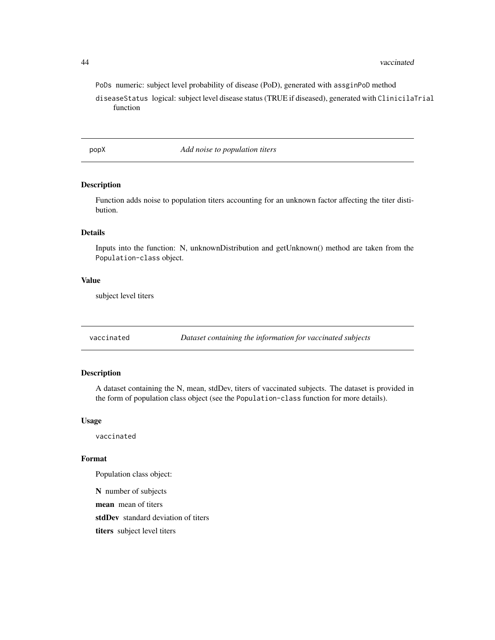#### <span id="page-43-0"></span>44 vaccinated

PoDs numeric: subject level probability of disease (PoD), generated with assginPoD method diseaseStatus logical: subject level disease status (TRUE if diseased), generated with ClinicilaTrial function

popX *Add noise to population titers*

## Description

Function adds noise to population titers accounting for an unknown factor affecting the titer distibution.

#### Details

Inputs into the function: N, unknownDistribution and getUnknown() method are taken from the Population-class object.

## Value

subject level titers

vaccinated *Dataset containing the information for vaccinated subjects*

## Description

A dataset containing the N, mean, stdDev, titers of vaccinated subjects. The dataset is provided in the form of population class object (see the Population-class function for more details).

#### Usage

vaccinated

#### Format

Population class object:

N number of subjects mean mean of titers stdDev standard deviation of titers titers subject level titers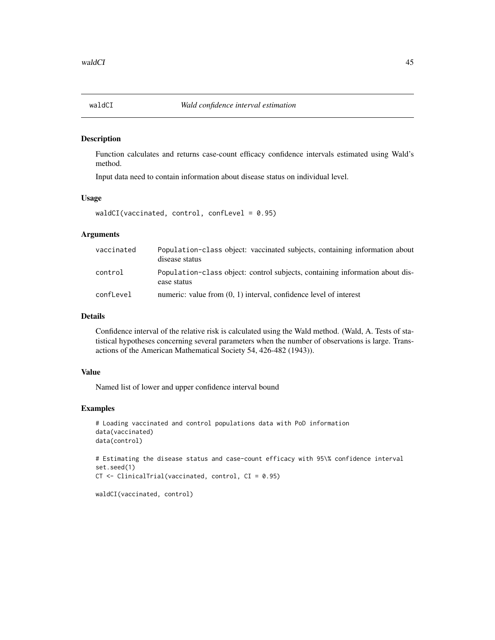<span id="page-44-0"></span>

#### Description

Function calculates and returns case-count efficacy confidence intervals estimated using Wald's method.

Input data need to contain information about disease status on individual level.

#### Usage

```
waldCI(vaccinated, control, confLevel = 0.95)
```
## **Arguments**

| vaccinated | Population-class object: vaccinated subjects, containing information about<br>disease status |
|------------|----------------------------------------------------------------------------------------------|
| control    | Population-class object: control subjects, containing information about dis-<br>ease status  |
| confLevel  | numeric: value from $(0, 1)$ interval, confidence level of interest                          |

## Details

Confidence interval of the relative risk is calculated using the Wald method. (Wald, A. Tests of statistical hypotheses concerning several parameters when the number of observations is large. Transactions of the American Mathematical Society 54, 426-482 (1943)).

#### Value

Named list of lower and upper confidence interval bound

## Examples

```
# Loading vaccinated and control populations data with PoD information
data(vaccinated)
data(control)
# Estimating the disease status and case-count efficacy with 95\% confidence interval
set.seed(1)
CT <- ClinicalTrial(vaccinated, control, CI = 0.95)
```
waldCI(vaccinated, control)